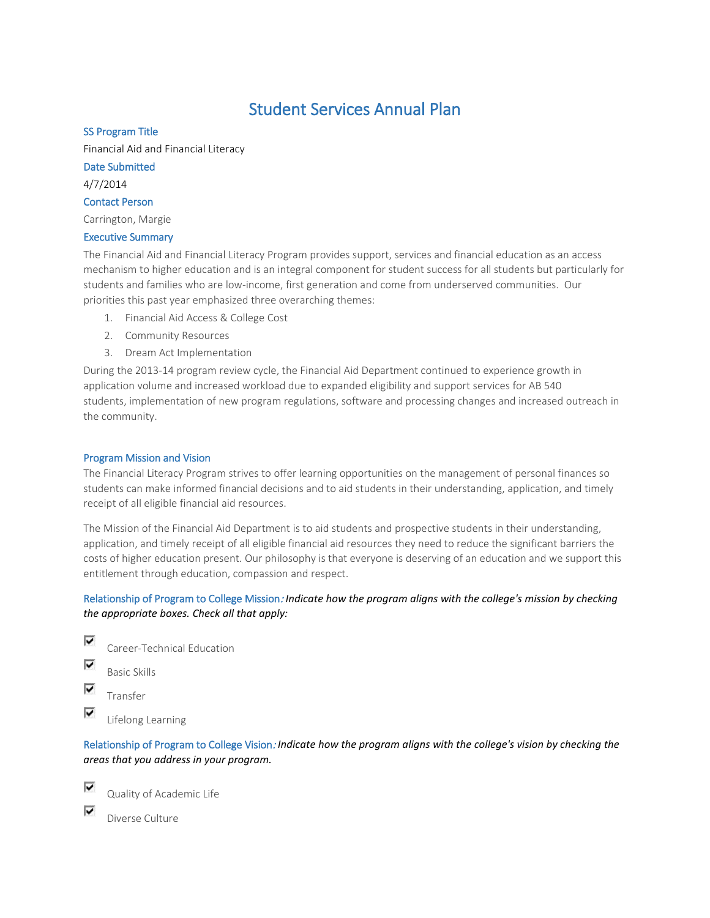# Student Services Annual Plan

## SS Program Title

Financial Aid and Financial Literacy

## Date Submitted

4/7/2014

## Contact Person

Carrington, Margie

## Executive Summary

The Financial Aid and Financial Literacy Program provides support, services and financial education as an access mechanism to higher education and is an integral component for student success for all students but particularly for students and families who are low-income, first generation and come from underserved communities. Our priorities this past year emphasized three overarching themes:

- 1. Financial Aid Access & College Cost
- 2. Community Resources
- 3. Dream Act Implementation

During the 2013-14 program review cycle, the Financial Aid Department continued to experience growth in application volume and increased workload due to expanded eligibility and support services for AB 540 students, implementation of new program regulations, software and processing changes and increased outreach in the community.

## Program Mission and Vision

The Financial Literacy Program strives to offer learning opportunities on the management of personal finances so students can make informed financial decisions and to aid students in their understanding, application, and timely receipt of all eligible financial aid resources.

The Mission of the Financial Aid Department is to aid students and prospective students in their understanding, application, and timely receipt of all eligible financial aid resources they need to reduce the significant barriers the costs of higher education present. Our philosophy is that everyone is deserving of an education and we support this entitlement through education, compassion and respect.

# Relationship of Program to College Mission: *Indicate how the program aligns with the college's mission by checking the appropriate boxes. Check all that apply:*

- ⊽ Career-Technical Education
- ⊽ Basic Skills
- ⊽ Transfer

⊽ Lifelong Learning

Relationship of Program to College Vision: *Indicate how the program aligns with the college's vision by checking the areas that you address in your program.*

⊽ ⊽

Quality of Academic Life

Diverse Culture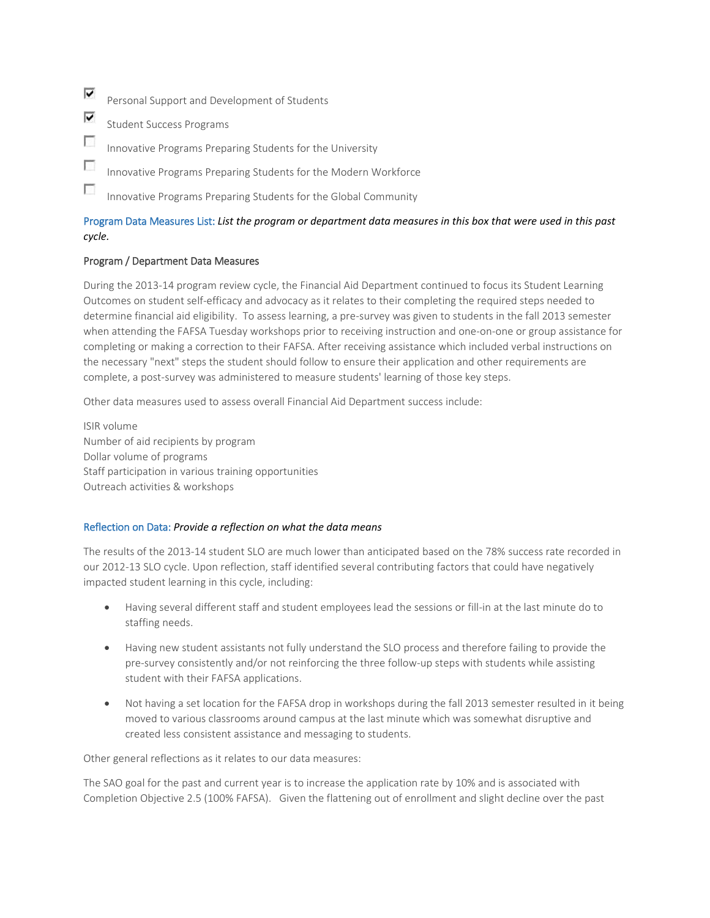⊽ Personal Support and Development of Students

⊽ Student Success Programs

- $\overline{\phantom{a}}$ Innovative Programs Preparing Students for the University
- $\overline{\phantom{a}}$ Innovative Programs Preparing Students for the Modern Workforce
- $\mathcal{L}_{\mathcal{L}}$ Innovative Programs Preparing Students for the Global Community

# Program Data Measures List: *List the program or department data measures in this box that were used in this past cycle.*

## Program / Department Data Measures

During the 2013-14 program review cycle, the Financial Aid Department continued to focus its Student Learning Outcomes on student self-efficacy and advocacy as it relates to their completing the required steps needed to determine financial aid eligibility. To assess learning, a pre-survey was given to students in the fall 2013 semester when attending the FAFSA Tuesday workshops prior to receiving instruction and one-on-one or group assistance for completing or making a correction to their FAFSA. After receiving assistance which included verbal instructions on the necessary "next" steps the student should follow to ensure their application and other requirements are complete, a post-survey was administered to measure students' learning of those key steps.

Other data measures used to assess overall Financial Aid Department success include:

ISIR volume Number of aid recipients by program Dollar volume of programs Staff participation in various training opportunities Outreach activities & workshops

## Reflection on Data: *Provide a reflection on what the data means*

The results of the 2013-14 student SLO are much lower than anticipated based on the 78% success rate recorded in our 2012-13 SLO cycle. Upon reflection, staff identified several contributing factors that could have negatively impacted student learning in this cycle, including:

- Having several different staff and student employees lead the sessions or fill-in at the last minute do to staffing needs.
- Having new student assistants not fully understand the SLO process and therefore failing to provide the pre-survey consistently and/or not reinforcing the three follow-up steps with students while assisting student with their FAFSA applications.
- Not having a set location for the FAFSA drop in workshops during the fall 2013 semester resulted in it being moved to various classrooms around campus at the last minute which was somewhat disruptive and created less consistent assistance and messaging to students.

Other general reflections as it relates to our data measures:

The SAO goal for the past and current year is to increase the application rate by 10% and is associated with Completion Objective 2.5 (100% FAFSA). Given the flattening out of enrollment and slight decline over the past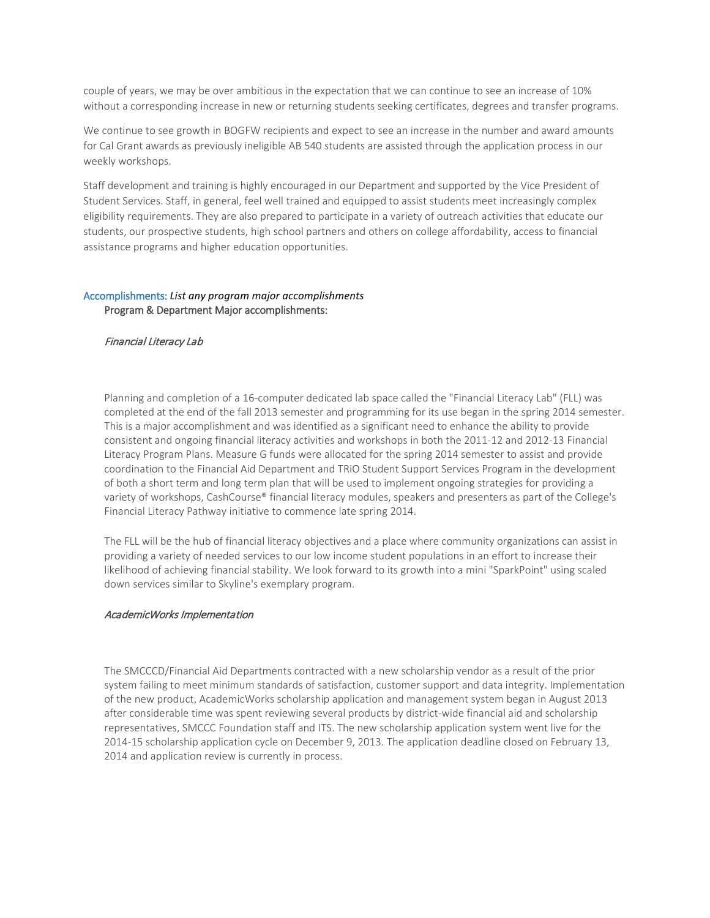couple of years, we may be over ambitious in the expectation that we can continue to see an increase of 10% without a corresponding increase in new or returning students seeking certificates, degrees and transfer programs.

We continue to see growth in BOGFW recipients and expect to see an increase in the number and award amounts for Cal Grant awards as previously ineligible AB 540 students are assisted through the application process in our weekly workshops.

Staff development and training is highly encouraged in our Department and supported by the Vice President of Student Services. Staff, in general, feel well trained and equipped to assist students meet increasingly complex eligibility requirements. They are also prepared to participate in a variety of outreach activities that educate our students, our prospective students, high school partners and others on college affordability, access to financial assistance programs and higher education opportunities.

#### Accomplishments: *List any program major accomplishments* Program & Department Major accomplishments:

#### Financial Literacy Lab

Planning and completion of a 16-computer dedicated lab space called the "Financial Literacy Lab" (FLL) was completed at the end of the fall 2013 semester and programming for its use began in the spring 2014 semester. This is a major accomplishment and was identified as a significant need to enhance the ability to provide consistent and ongoing financial literacy activities and workshops in both the 2011-12 and 2012-13 Financial Literacy Program Plans. Measure G funds were allocated for the spring 2014 semester to assist and provide coordination to the Financial Aid Department and TRiO Student Support Services Program in the development of both a short term and long term plan that will be used to implement ongoing strategies for providing a variety of workshops, CashCourse® financial literacy modules, speakers and presenters as part of the College's Financial Literacy Pathway initiative to commence late spring 2014.

The FLL will be the hub of financial literacy objectives and a place where community organizations can assist in providing a variety of needed services to our low income student populations in an effort to increase their likelihood of achieving financial stability. We look forward to its growth into a mini "SparkPoint" using scaled down services similar to Skyline's exemplary program.

#### AcademicWorks Implementation

The SMCCCD/Financial Aid Departments contracted with a new scholarship vendor as a result of the prior system failing to meet minimum standards of satisfaction, customer support and data integrity. Implementation of the new product, AcademicWorks scholarship application and management system began in August 2013 after considerable time was spent reviewing several products by district-wide financial aid and scholarship representatives, SMCCC Foundation staff and ITS. The new scholarship application system went live for the 2014-15 scholarship application cycle on December 9, 2013. The application deadline closed on February 13, 2014 and application review is currently in process.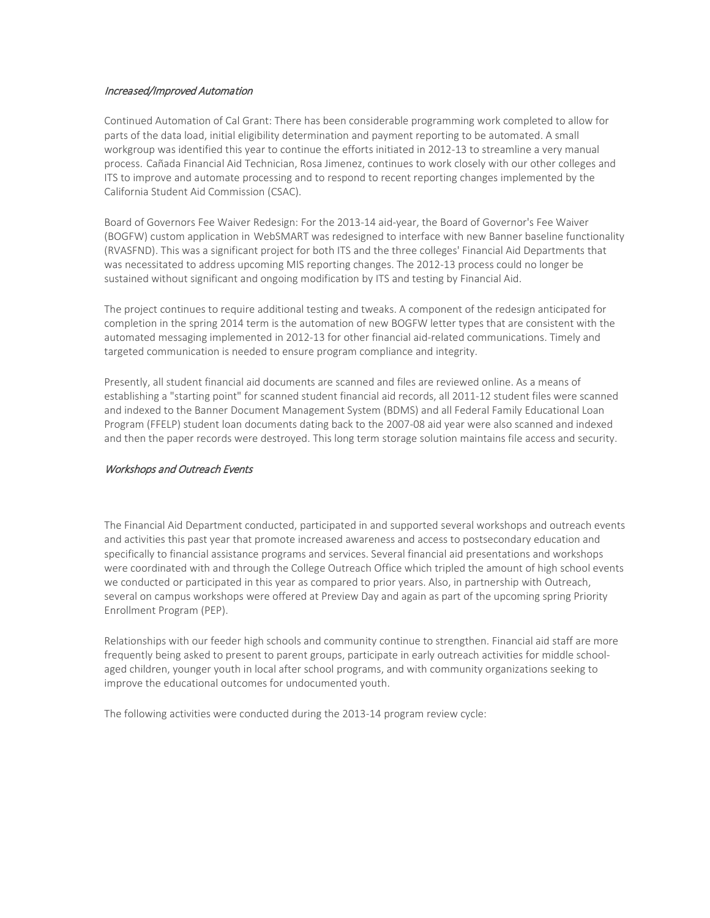#### Increased/Improved Automation

Continued Automation of Cal Grant: There has been considerable programming work completed to allow for parts of the data load, initial eligibility determination and payment reporting to be automated. A small workgroup was identified this year to continue the efforts initiated in 2012-13 to streamline a very manual process. Cañada Financial Aid Technician, Rosa Jimenez, continues to work closely with our other colleges and ITS to improve and automate processing and to respond to recent reporting changes implemented by the California Student Aid Commission (CSAC).

Board of Governors Fee Waiver Redesign: For the 2013-14 aid-year, the Board of Governor's Fee Waiver (BOGFW) custom application in WebSMART was redesigned to interface with new Banner baseline functionality (RVASFND). This was a significant project for both ITS and the three colleges' Financial Aid Departments that was necessitated to address upcoming MIS reporting changes. The 2012-13 process could no longer be sustained without significant and ongoing modification by ITS and testing by Financial Aid.

The project continues to require additional testing and tweaks. A component of the redesign anticipated for completion in the spring 2014 term is the automation of new BOGFW letter types that are consistent with the automated messaging implemented in 2012-13 for other financial aid-related communications. Timely and targeted communication is needed to ensure program compliance and integrity.

Presently, all student financial aid documents are scanned and files are reviewed online. As a means of establishing a "starting point" for scanned student financial aid records, all 2011-12 student files were scanned and indexed to the Banner Document Management System (BDMS) and all Federal Family Educational Loan Program (FFELP) student loan documents dating back to the 2007-08 aid year were also scanned and indexed and then the paper records were destroyed. This long term storage solution maintains file access and security.

## Workshops and Outreach Events

The Financial Aid Department conducted, participated in and supported several workshops and outreach events and activities this past year that promote increased awareness and access to postsecondary education and specifically to financial assistance programs and services. Several financial aid presentations and workshops were coordinated with and through the College Outreach Office which tripled the amount of high school events we conducted or participated in this year as compared to prior years. Also, in partnership with Outreach, several on campus workshops were offered at Preview Day and again as part of the upcoming spring Priority Enrollment Program (PEP).

Relationships with our feeder high schools and community continue to strengthen. Financial aid staff are more frequently being asked to present to parent groups, participate in early outreach activities for middle schoolaged children, younger youth in local after school programs, and with community organizations seeking to improve the educational outcomes for undocumented youth.

The following activities were conducted during the 2013-14 program review cycle: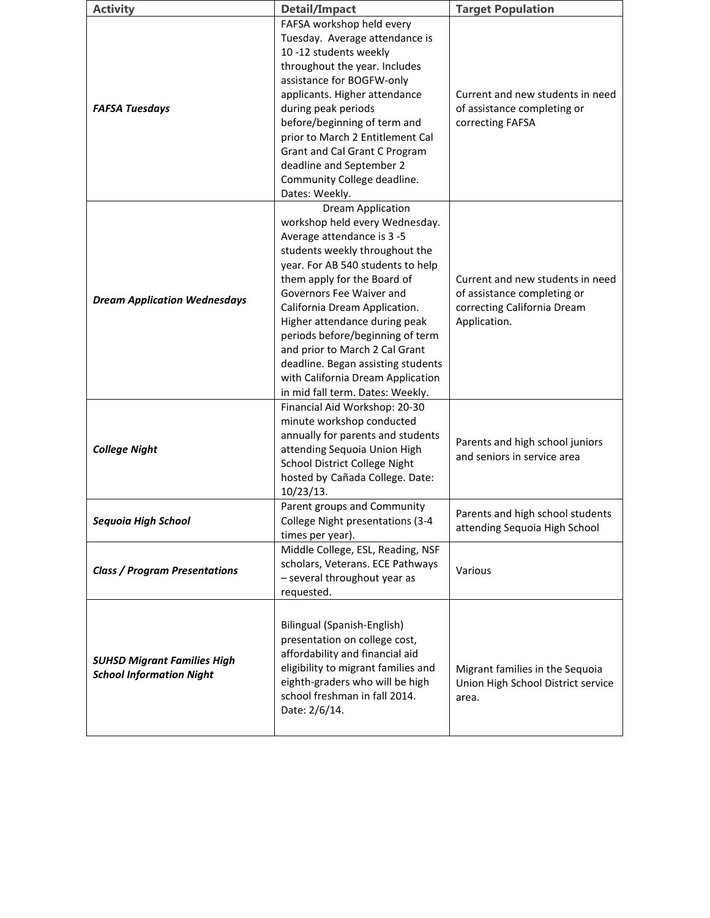| <b>Activity</b>                                                       | <b>Detail/Impact</b>                                                                                                                                                                                                                                                                                                                                                                                                                                                              | <b>Target Population</b>                                                                                       |
|-----------------------------------------------------------------------|-----------------------------------------------------------------------------------------------------------------------------------------------------------------------------------------------------------------------------------------------------------------------------------------------------------------------------------------------------------------------------------------------------------------------------------------------------------------------------------|----------------------------------------------------------------------------------------------------------------|
| <b>FAFSA Tuesdays</b>                                                 | FAFSA workshop held every<br>Tuesday. Average attendance is<br>10 -12 students weekly<br>throughout the year. Includes<br>assistance for BOGFW-only<br>applicants. Higher attendance<br>during peak periods<br>before/beginning of term and<br>prior to March 2 Entitlement Cal<br>Grant and Cal Grant C Program<br>deadline and September 2<br>Community College deadline.<br>Dates: Weekly.                                                                                     | Current and new students in need<br>of assistance completing or<br>correcting FAFSA                            |
| <b>Dream Application Wednesdays</b>                                   | <b>Dream Application</b><br>workshop held every Wednesday.<br>Average attendance is 3 -5<br>students weekly throughout the<br>year. For AB 540 students to help<br>them apply for the Board of<br>Governors Fee Waiver and<br>California Dream Application.<br>Higher attendance during peak<br>periods before/beginning of term<br>and prior to March 2 Cal Grant<br>deadline. Began assisting students<br>with California Dream Application<br>in mid fall term. Dates: Weekly. | Current and new students in need<br>of assistance completing or<br>correcting California Dream<br>Application. |
| <b>College Night</b>                                                  | Financial Aid Workshop: 20-30<br>minute workshop conducted<br>annually for parents and students<br>attending Sequoia Union High<br>School District College Night<br>hosted by Cañada College. Date:<br>$10/23/13$ .                                                                                                                                                                                                                                                               | Parents and high school juniors<br>and seniors in service area                                                 |
| Sequoia High School                                                   | Parent groups and Community<br>College Night presentations (3-4<br>times per year).                                                                                                                                                                                                                                                                                                                                                                                               | Parents and high school students<br>attending Sequoia High School                                              |
| <b>Class / Program Presentations</b>                                  | Middle College, ESL, Reading, NSF<br>scholars, Veterans. ECE Pathways<br>- several throughout year as<br>requested.                                                                                                                                                                                                                                                                                                                                                               | Various                                                                                                        |
| <b>SUHSD Migrant Families High</b><br><b>School Information Night</b> | Bilingual (Spanish-English)<br>presentation on college cost,<br>affordability and financial aid<br>eligibility to migrant families and<br>eighth-graders who will be high<br>school freshman in fall 2014.<br>Date: 2/6/14.                                                                                                                                                                                                                                                       | Migrant families in the Sequoia<br>Union High School District service<br>area.                                 |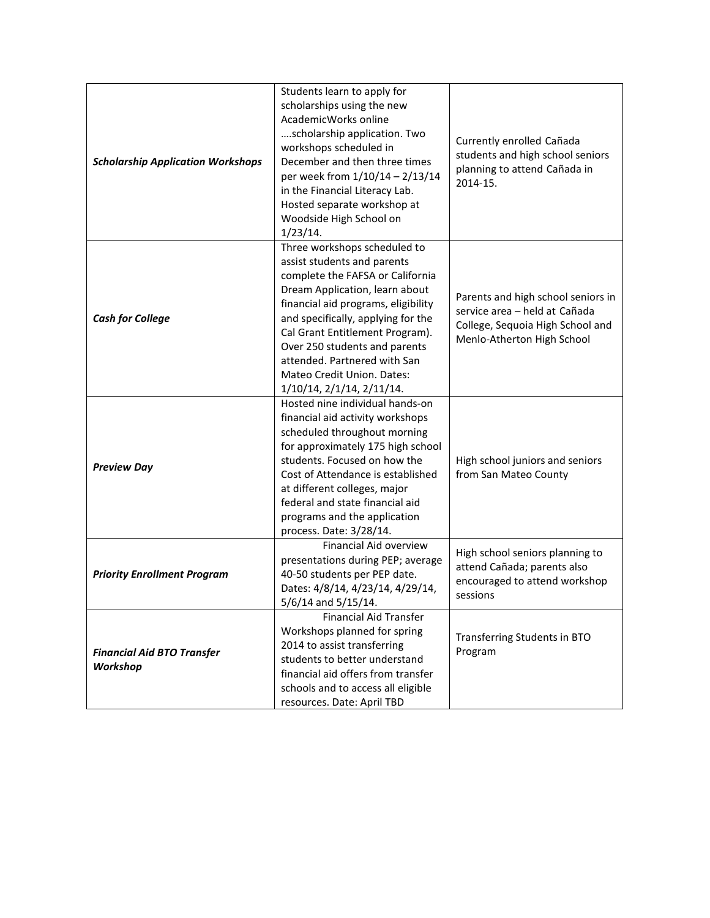| <b>Scholarship Application Workshops</b>      | Students learn to apply for<br>scholarships using the new<br>AcademicWorks online<br>scholarship application. Two<br>workshops scheduled in<br>December and then three times<br>per week from 1/10/14 - 2/13/14<br>in the Financial Literacy Lab.<br>Hosted separate workshop at<br>Woodside High School on                                                                                        | Currently enrolled Cañada<br>students and high school seniors<br>planning to attend Cañada in<br>2014-15.                             |
|-----------------------------------------------|----------------------------------------------------------------------------------------------------------------------------------------------------------------------------------------------------------------------------------------------------------------------------------------------------------------------------------------------------------------------------------------------------|---------------------------------------------------------------------------------------------------------------------------------------|
| <b>Cash for College</b>                       | 1/23/14.<br>Three workshops scheduled to<br>assist students and parents<br>complete the FAFSA or California<br>Dream Application, learn about<br>financial aid programs, eligibility<br>and specifically, applying for the<br>Cal Grant Entitlement Program).<br>Over 250 students and parents<br>attended. Partnered with San<br>Mateo Credit Union. Dates:<br>$1/10/14$ , $2/1/14$ , $2/11/14$ . | Parents and high school seniors in<br>service area - held at Cañada<br>College, Sequoia High School and<br>Menlo-Atherton High School |
| <b>Preview Day</b>                            | Hosted nine individual hands-on<br>financial aid activity workshops<br>scheduled throughout morning<br>for approximately 175 high school<br>students. Focused on how the<br>Cost of Attendance is established<br>at different colleges, major<br>federal and state financial aid<br>programs and the application<br>process. Date: 3/28/14.                                                        | High school juniors and seniors<br>from San Mateo County                                                                              |
| <b>Priority Enrollment Program</b>            | Financial Aid overview<br>presentations during PEP; average<br>40-50 students per PEP date.<br>Dates: 4/8/14, 4/23/14, 4/29/14,<br>5/6/14 and 5/15/14.                                                                                                                                                                                                                                             | High school seniors planning to<br>attend Cañada; parents also<br>encouraged to attend workshop<br>sessions                           |
| <b>Financial Aid BTO Transfer</b><br>Workshop | <b>Financial Aid Transfer</b><br>Workshops planned for spring<br>2014 to assist transferring<br>students to better understand<br>financial aid offers from transfer<br>schools and to access all eligible<br>resources. Date: April TBD                                                                                                                                                            | Transferring Students in BTO<br>Program                                                                                               |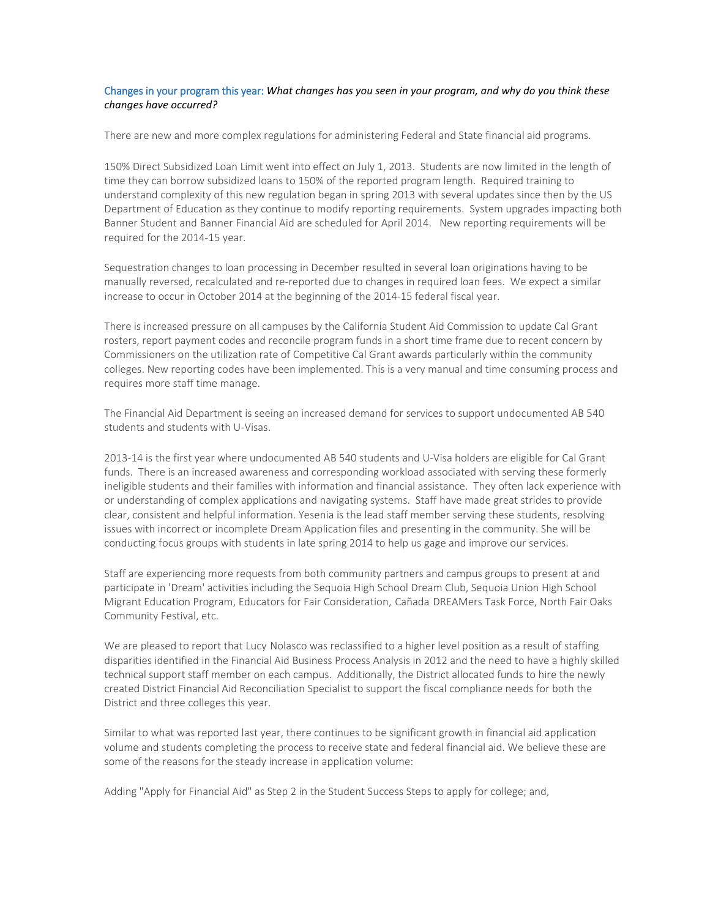#### Changes in your program this year: *What changes has you seen in your program, and why do you think these changes have occurred?*

There are new and more complex regulations for administering Federal and State financial aid programs.

150% Direct Subsidized Loan Limit went into effect on July 1, 2013. Students are now limited in the length of time they can borrow subsidized loans to 150% of the reported program length. Required training to understand complexity of this new regulation began in spring 2013 with several updates since then by the US Department of Education as they continue to modify reporting requirements. System upgrades impacting both Banner Student and Banner Financial Aid are scheduled for April 2014. New reporting requirements will be required for the 2014-15 year.

Sequestration changes to loan processing in December resulted in several loan originations having to be manually reversed, recalculated and re-reported due to changes in required loan fees. We expect a similar increase to occur in October 2014 at the beginning of the 2014-15 federal fiscal year.

There is increased pressure on all campuses by the California Student Aid Commission to update Cal Grant rosters, report payment codes and reconcile program funds in a short time frame due to recent concern by Commissioners on the utilization rate of Competitive Cal Grant awards particularly within the community colleges. New reporting codes have been implemented. This is a very manual and time consuming process and requires more staff time manage.

The Financial Aid Department is seeing an increased demand for services to support undocumented AB 540 students and students with U-Visas.

2013-14 is the first year where undocumented AB 540 students and U-Visa holders are eligible for Cal Grant funds. There is an increased awareness and corresponding workload associated with serving these formerly ineligible students and their families with information and financial assistance. They often lack experience with or understanding of complex applications and navigating systems. Staff have made great strides to provide clear, consistent and helpful information. Yesenia is the lead staff member serving these students, resolving issues with incorrect or incomplete Dream Application files and presenting in the community. She will be conducting focus groups with students in late spring 2014 to help us gage and improve our services.

Staff are experiencing more requests from both community partners and campus groups to present at and participate in 'Dream' activities including the Sequoia High School Dream Club, Sequoia Union High School Migrant Education Program, Educators for Fair Consideration, Cañada DREAMers Task Force, North Fair Oaks Community Festival, etc.

We are pleased to report that Lucy Nolasco was reclassified to a higher level position as a result of staffing disparities identified in the Financial Aid Business Process Analysis in 2012 and the need to have a highly skilled technical support staff member on each campus. Additionally, the District allocated funds to hire the newly created District Financial Aid Reconciliation Specialist to support the fiscal compliance needs for both the District and three colleges this year.

Similar to what was reported last year, there continues to be significant growth in financial aid application volume and students completing the process to receive state and federal financial aid. We believe these are some of the reasons for the steady increase in application volume:

Adding "Apply for Financial Aid" as Step 2 in the Student Success Steps to apply for college; and,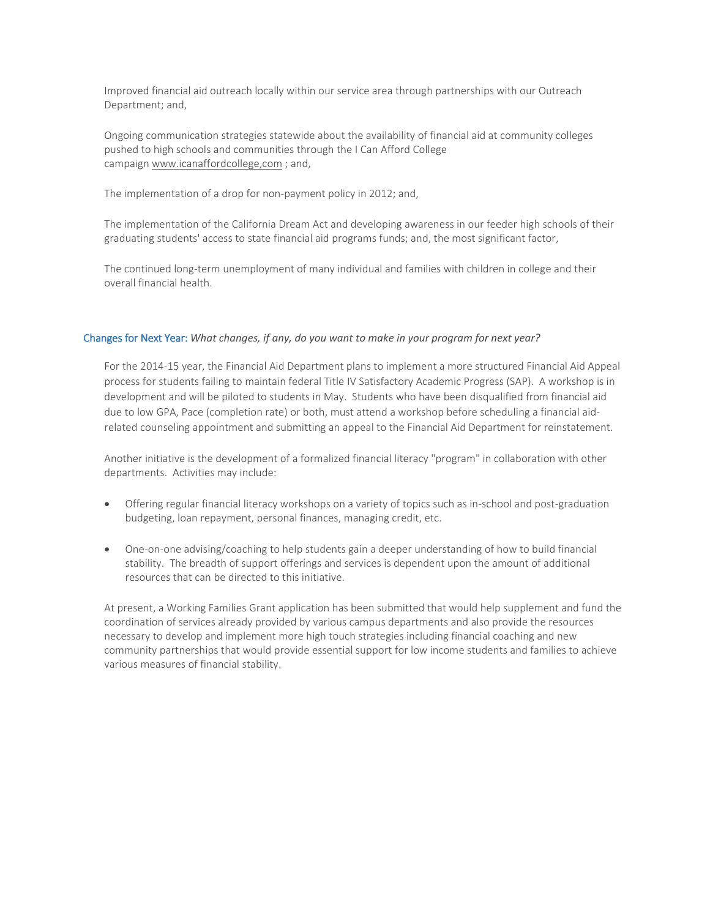Improved financial aid outreach locally within our service area through partnerships with our Outreach Department; and,

Ongoing communication strategies statewide about the availability of financial aid at community colleges pushed to high schools and communities through the I Can Afford College campaign www.icanaffordcollege,com ; and,

The implementation of a drop for non-payment policy in 2012; and,

The implementation of the California Dream Act and developing awareness in our feeder high schools of their graduating students' access to state financial aid programs funds; and, the most significant factor,

The continued long-term unemployment of many individual and families with children in college and their overall financial health.

## Changes for Next Year: *What changes, if any, do you want to make in your program for next year?*

For the 2014-15 year, the Financial Aid Department plans to implement a more structured Financial Aid Appeal process for students failing to maintain federal Title IV Satisfactory Academic Progress (SAP). A workshop is in development and will be piloted to students in May. Students who have been disqualified from financial aid due to low GPA, Pace (completion rate) or both, must attend a workshop before scheduling a financial aidrelated counseling appointment and submitting an appeal to the Financial Aid Department for reinstatement.

Another initiative is the development of a formalized financial literacy "program" in collaboration with other departments. Activities may include:

- Offering regular financial literacy workshops on a variety of topics such as in-school and post-graduation budgeting, loan repayment, personal finances, managing credit, etc.
- One-on-one advising/coaching to help students gain a deeper understanding of how to build financial stability. The breadth of support offerings and services is dependent upon the amount of additional resources that can be directed to this initiative.

At present, a Working Families Grant application has been submitted that would help supplement and fund the coordination of services already provided by various campus departments and also provide the resources necessary to develop and implement more high touch strategies including financial coaching and new community partnerships that would provide essential support for low income students and families to achieve various measures of financial stability.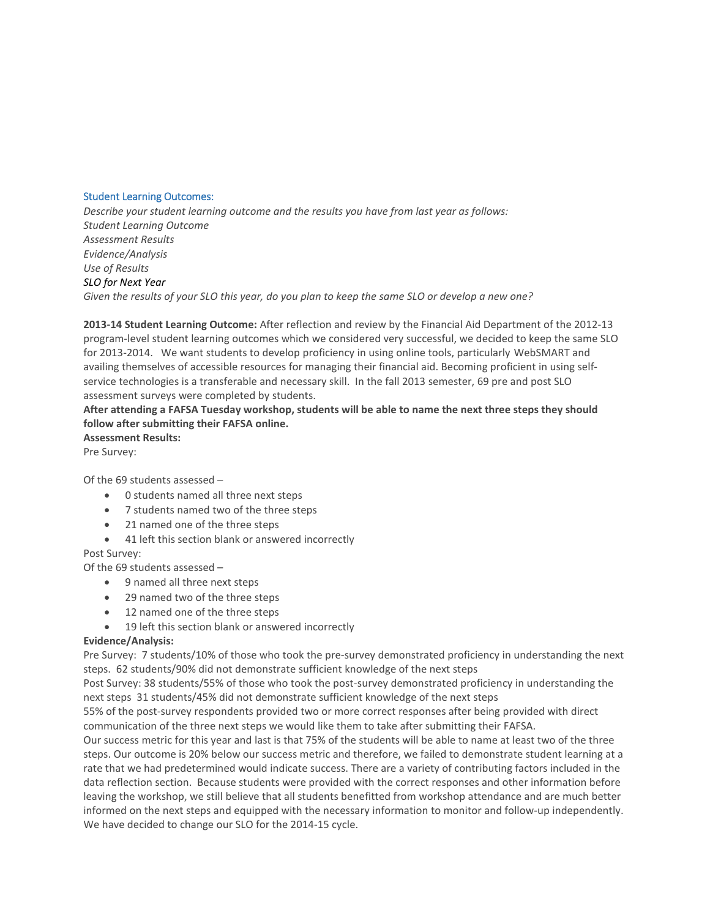#### Student Learning Outcomes:

*Describe your student learning outcome and the results you have from last year as follows: Student Learning Outcome Assessment Results Evidence/Analysis Use of Results SLO for Next Year Given the results of your SLO this year, do you plan to keep the same SLO or develop a new one?*

**2013-14 Student Learning Outcome:** After reflection and review by the Financial Aid Department of the 2012-13 program-level student learning outcomes which we considered very successful, we decided to keep the same SLO for 2013-2014. We want students to develop proficiency in using online tools, particularly WebSMART and availing themselves of accessible resources for managing their financial aid. Becoming proficient in using selfservice technologies is a transferable and necessary skill. In the fall 2013 semester, 69 pre and post SLO assessment surveys were completed by students.

# **After attending a FAFSA Tuesday workshop, students will be able to name the next three steps they should follow after submitting their FAFSA online.**

**Assessment Results:**  Pre Survey:

Of the 69 students assessed –

- 0 students named all three next steps
- 7 students named two of the three steps
- 21 named one of the three steps
- 41 left this section blank or answered incorrectly

Post Survey:

Of the 69 students assessed –

- 9 named all three next steps
- 29 named two of the three steps
- 12 named one of the three steps
- 19 left this section blank or answered incorrectly

## **Evidence/Analysis:**

Pre Survey: 7 students/10% of those who took the pre-survey demonstrated proficiency in understanding the next steps. 62 students/90% did not demonstrate sufficient knowledge of the next steps

Post Survey: 38 students/55% of those who took the post-survey demonstrated proficiency in understanding the next steps 31 students/45% did not demonstrate sufficient knowledge of the next steps

55% of the post-survey respondents provided two or more correct responses after being provided with direct communication of the three next steps we would like them to take after submitting their FAFSA.

Our success metric for this year and last is that 75% of the students will be able to name at least two of the three steps. Our outcome is 20% below our success metric and therefore, we failed to demonstrate student learning at a rate that we had predetermined would indicate success. There are a variety of contributing factors included in the data reflection section. Because students were provided with the correct responses and other information before leaving the workshop, we still believe that all students benefitted from workshop attendance and are much better informed on the next steps and equipped with the necessary information to monitor and follow-up independently. We have decided to change our SLO for the 2014-15 cycle.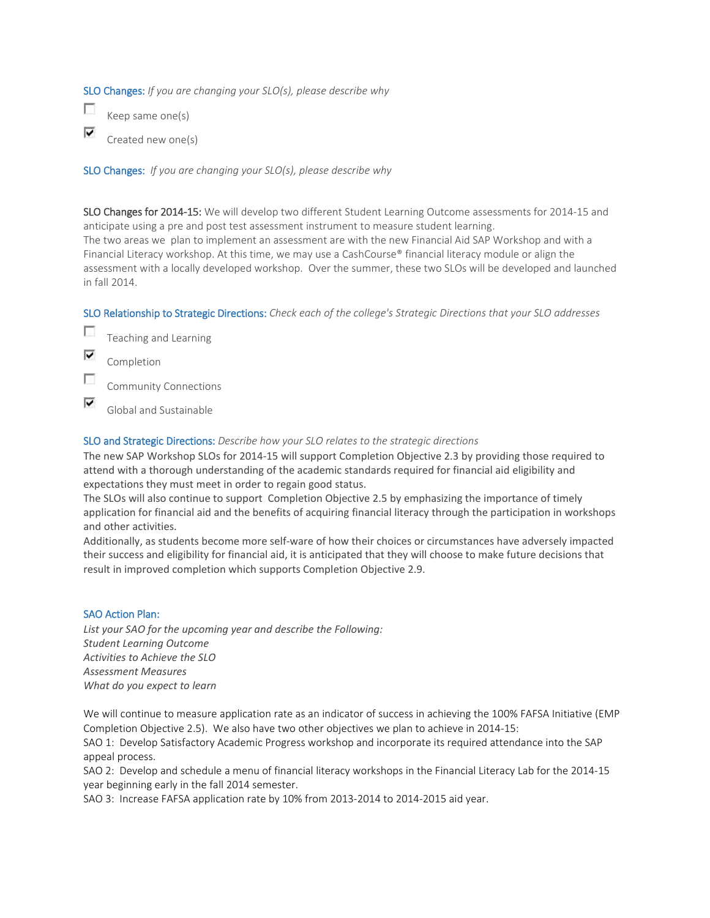SLO Changes: *If you are changing your SLO(s), please describe why*

 $\overline{\mathcal{L}}$ Keep same one(s) ⊽ Created new one(s)

SLO Changes: *If you are changing your SLO(s), please describe why*

SLO Changes for 2014-15: We will develop two different Student Learning Outcome assessments for 2014-15 and anticipate using a pre and post test assessment instrument to measure student learning. The two areas we plan to implement an assessment are with the new Financial Aid SAP Workshop and with a Financial Literacy workshop. At this time, we may use a CashCourse® financial literacy module or align the assessment with a locally developed workshop. Over the summer, these two SLOs will be developed and launched in fall 2014.

SLO Relationship to Strategic Directions: *Check each of the college's Strategic Directions that your SLO addresses*

- $\overline{\phantom{a}}$ Teaching and Learning
- ⊽ Completion
- F Community Connections
- ⊽ Global and Sustainable

## SLO and Strategic Directions: *Describe how your SLO relates to the strategic directions*

The new SAP Workshop SLOs for 2014-15 will support Completion Objective 2.3 by providing those required to attend with a thorough understanding of the academic standards required for financial aid eligibility and expectations they must meet in order to regain good status.

The SLOs will also continue to support Completion Objective 2.5 by emphasizing the importance of timely application for financial aid and the benefits of acquiring financial literacy through the participation in workshops and other activities.

Additionally, as students become more self-ware of how their choices or circumstances have adversely impacted their success and eligibility for financial aid, it is anticipated that they will choose to make future decisions that result in improved completion which supports Completion Objective 2.9.

## SAO Action Plan:

*List your SAO for the upcoming year and describe the Following: Student Learning Outcome Activities to Achieve the SLO Assessment Measures What do you expect to learn*

We will continue to measure application rate as an indicator of success in achieving the 100% FAFSA Initiative (EMP Completion Objective 2.5). We also have two other objectives we plan to achieve in 2014-15:

SAO 1: Develop Satisfactory Academic Progress workshop and incorporate its required attendance into the SAP appeal process.

SAO 2: Develop and schedule a menu of financial literacy workshops in the Financial Literacy Lab for the 2014-15 year beginning early in the fall 2014 semester.

SAO 3: Increase FAFSA application rate by 10% from 2013-2014 to 2014-2015 aid year.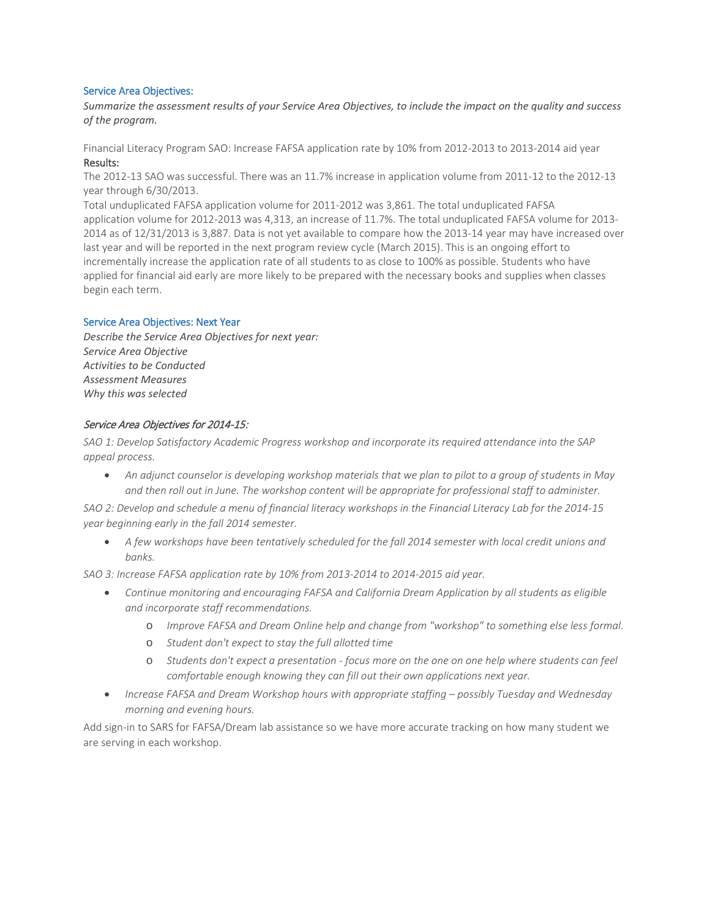#### Service Area Objectives:

*Summarize the assessment results of your Service Area Objectives, to include the impact on the quality and success of the program.*

Financial Literacy Program SAO: Increase FAFSA application rate by 10% from 2012-2013 to 2013-2014 aid year Results:

The 2012-13 SAO was successful. There was an 11.7% increase in application volume from 2011-12 to the 2012-13 year through 6/30/2013.

Total unduplicated FAFSA application volume for 2011-2012 was 3,861. The total unduplicated FAFSA application volume for 2012-2013 was 4,313, an increase of 11.7%. The total unduplicated FAFSA volume for 2013- 2014 as of 12/31/2013 is 3,887. Data is not yet available to compare how the 2013-14 year may have increased over last year and will be reported in the next program review cycle (March 2015). This is an ongoing effort to incrementally increase the application rate of all students to as close to 100% as possible. Students who have applied for financial aid early are more likely to be prepared with the necessary books and supplies when classes begin each term.

#### Service Area Objectives: Next Year

*Describe the Service Area Objectives for next year: Service Area Objective Activities to be Conducted Assessment Measures Why this was selected*

#### Service Area Objectives for 2014-15:

*SAO 1: Develop Satisfactory Academic Progress workshop and incorporate its required attendance into the SAP appeal process.* 

• *An adjunct counselor is developing workshop materials that we plan to pilot to a group of students in May and then roll out in June. The workshop content will be appropriate for professional staff to administer.* 

*SAO 2: Develop and schedule a menu of financial literacy workshops in the Financial Literacy Lab for the 2014-15 year beginning early in the fall 2014 semester.* 

• *A few workshops have been tentatively scheduled for the fall 2014 semester with local credit unions and banks.* 

*SAO 3: Increase FAFSA application rate by 10% from 2013-2014 to 2014-2015 aid year.* 

- *Continue monitoring and encouraging FAFSA and California Dream Application by all students as eligible and incorporate staff recommendations.* 
	- o *Improve FAFSA and Dream Online help and change from "workshop" to something else less formal.*
	- o *Student don't expect to stay the full allotted time*
	- o *Students don't expect a presentation - focus more on the one on one help where students can feel comfortable enough knowing they can fill out their own applications next year.*
- *Increase FAFSA and Dream Workshop hours with appropriate staffing – possibly Tuesday and Wednesday morning and evening hours.*

Add sign-in to SARS for FAFSA/Dream lab assistance so we have more accurate tracking on how many student we are serving in each workshop.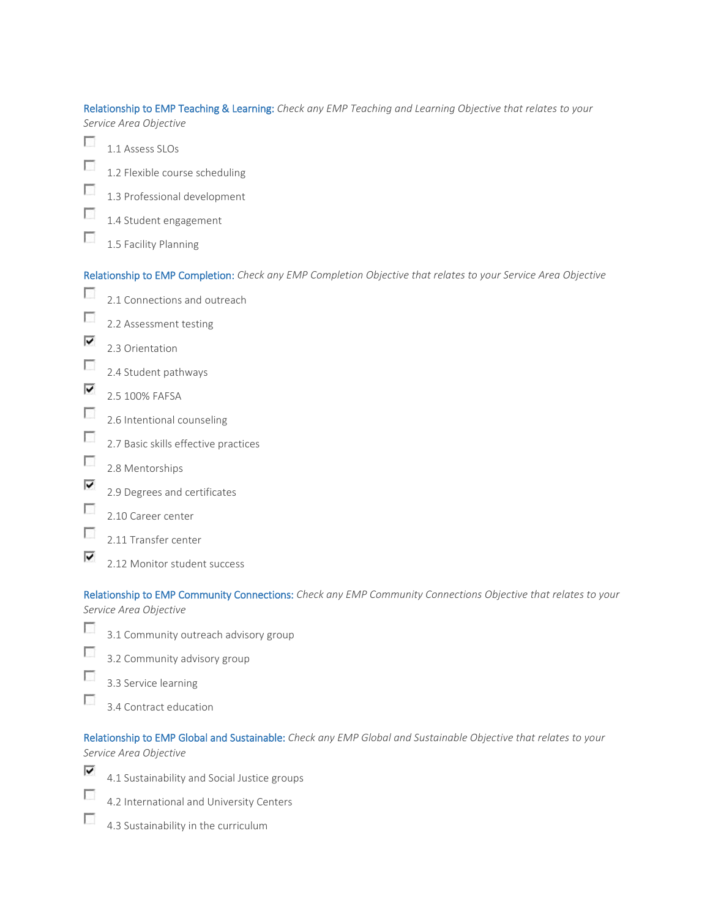Relationship to EMP Teaching & Learning: *Check any EMP Teaching and Learning Objective that relates to your Service Area Objective*

- $\sim$ 1.1 Assess SLOs  $\overline{\phantom{a}}$ 1.2 Flexible course scheduling  $\overline{\phantom{a}}$ 1.3 Professional development  $\sim$ 1.4 Student engagement  $\overline{\phantom{a}}$ 
	- 1.5 Facility Planning

Relationship to EMP Completion: *Check any EMP Completion Objective that relates to your Service Area Objective*

- $\overline{\mathcal{L}}$ 2.1 Connections and outreach  $\sim$ 2.2 Assessment testing
- ⊽ 2.3 Orientation
- $\overline{\mathcal{L}}$ 2.4 Student pathways
- ⊽ 2.5 100% FAFSA
- $\overline{\mathcal{L}}$ 2.6 Intentional counseling
- $\overline{\phantom{a}}$ 2.7 Basic skills effective practices
- $\overline{\phantom{a}}$ 2.8 Mentorships
- ⊽ 2.9 Degrees and certificates
- $\overline{\phantom{a}}$ 2.10 Career center
- Г 2.11 Transfer center
	- 2.12 Monitor student success

Relationship to EMP Community Connections: *Check any EMP Community Connections Objective that relates to your Service Area Objective*

- $\overline{\mathcal{L}}$ 3.1 Community outreach advisory group
- $\overline{\mathcal{L}}$ 3.2 Community advisory group
- П 3.3 Service learning
	- 3.4 Contract education

Relationship to EMP Global and Sustainable: *Check any EMP Global and Sustainable Objective that relates to your Service Area Objective*

⊽

**P** 

⊽

- 4.1 Sustainability and Social Justice groups
- Г 4.2 International and University Centers
- $\overline{\phantom{a}}$ 4.3 Sustainability in the curriculum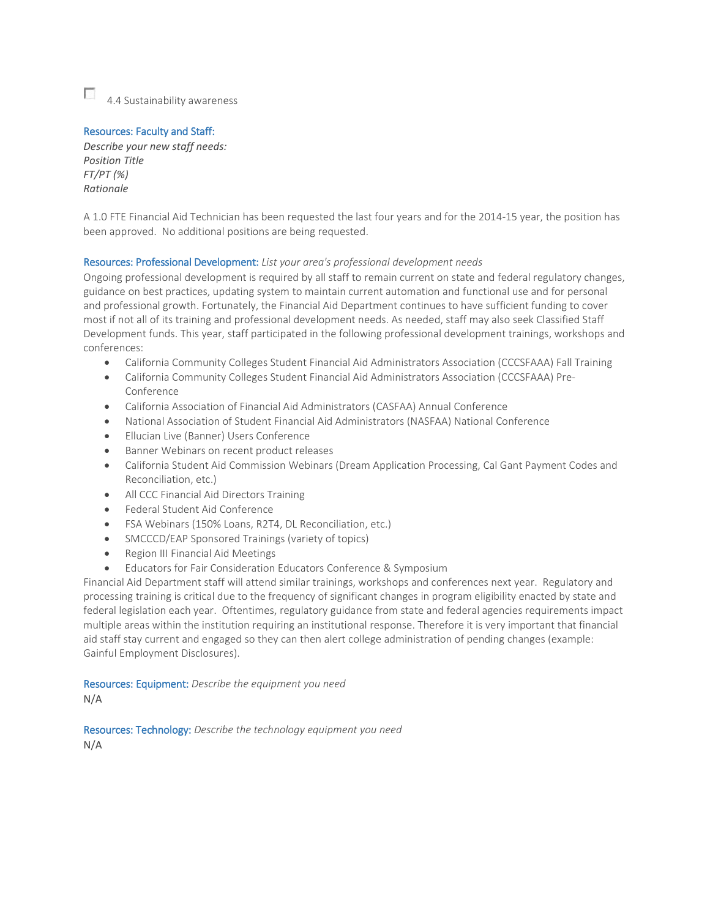$\overline{a}$ 4.4 Sustainability awareness

## Resources: Faculty and Staff:

*Describe your new staff needs: Position Title FT/PT (%) Rationale*

A 1.0 FTE Financial Aid Technician has been requested the last four years and for the 2014-15 year, the position has been approved. No additional positions are being requested.

## Resources: Professional Development: *List your area's professional development needs*

Ongoing professional development is required by all staff to remain current on state and federal regulatory changes, guidance on best practices, updating system to maintain current automation and functional use and for personal and professional growth. Fortunately, the Financial Aid Department continues to have sufficient funding to cover most if not all of its training and professional development needs. As needed, staff may also seek Classified Staff Development funds. This year, staff participated in the following professional development trainings, workshops and conferences:

- California Community Colleges Student Financial Aid Administrators Association (CCCSFAAA) Fall Training
- California Community Colleges Student Financial Aid Administrators Association (CCCSFAAA) Pre-Conference
- California Association of Financial Aid Administrators (CASFAA) Annual Conference
- National Association of Student Financial Aid Administrators (NASFAA) National Conference
- Ellucian Live (Banner) Users Conference
- Banner Webinars on recent product releases
- California Student Aid Commission Webinars (Dream Application Processing, Cal Gant Payment Codes and Reconciliation, etc.)
- All CCC Financial Aid Directors Training
- Federal Student Aid Conference
- FSA Webinars (150% Loans, R2T4, DL Reconciliation, etc.)
- SMCCCD/EAP Sponsored Trainings (variety of topics)
- Region III Financial Aid Meetings
- Educators for Fair Consideration Educators Conference & Symposium

Financial Aid Department staff will attend similar trainings, workshops and conferences next year. Regulatory and processing training is critical due to the frequency of significant changes in program eligibility enacted by state and federal legislation each year. Oftentimes, regulatory guidance from state and federal agencies requirements impact multiple areas within the institution requiring an institutional response. Therefore it is very important that financial aid staff stay current and engaged so they can then alert college administration of pending changes (example: Gainful Employment Disclosures).

#### Resources: Equipment: *Describe the equipment you need*

N/A

Resources: Technology: *Describe the technology equipment you need* N/A